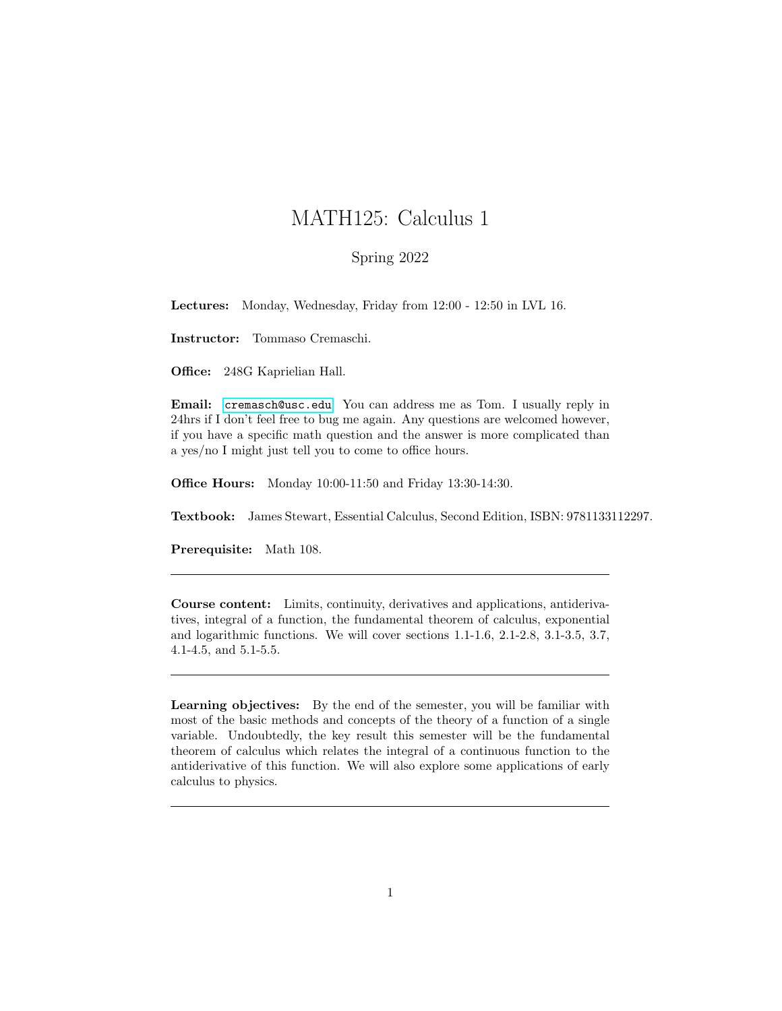## MATH125: Calculus 1

## Spring 2022

Lectures: Monday, Wednesday, Friday from 12:00 - 12:50 in LVL 16.

Instructor: Tommaso Cremaschi.

Office: 248G Kaprielian Hall.

Email: <cremasch@usc.edu>. You can address me as Tom. I usually reply in 24hrs if I don't feel free to bug me again. Any questions are welcomed however, if you have a specific math question and the answer is more complicated than a yes/no I might just tell you to come to office hours.

Office Hours: Monday 10:00-11:50 and Friday 13:30-14:30.

Textbook: James Stewart, Essential Calculus, Second Edition, ISBN: 9781133112297.

Prerequisite: Math 108.

Course content: Limits, continuity, derivatives and applications, antiderivatives, integral of a function, the fundamental theorem of calculus, exponential and logarithmic functions. We will cover sections 1.1-1.6, 2.1-2.8, 3.1-3.5, 3.7, 4.1-4.5, and 5.1-5.5.

Learning objectives: By the end of the semester, you will be familiar with most of the basic methods and concepts of the theory of a function of a single variable. Undoubtedly, the key result this semester will be the fundamental theorem of calculus which relates the integral of a continuous function to the antiderivative of this function. We will also explore some applications of early calculus to physics.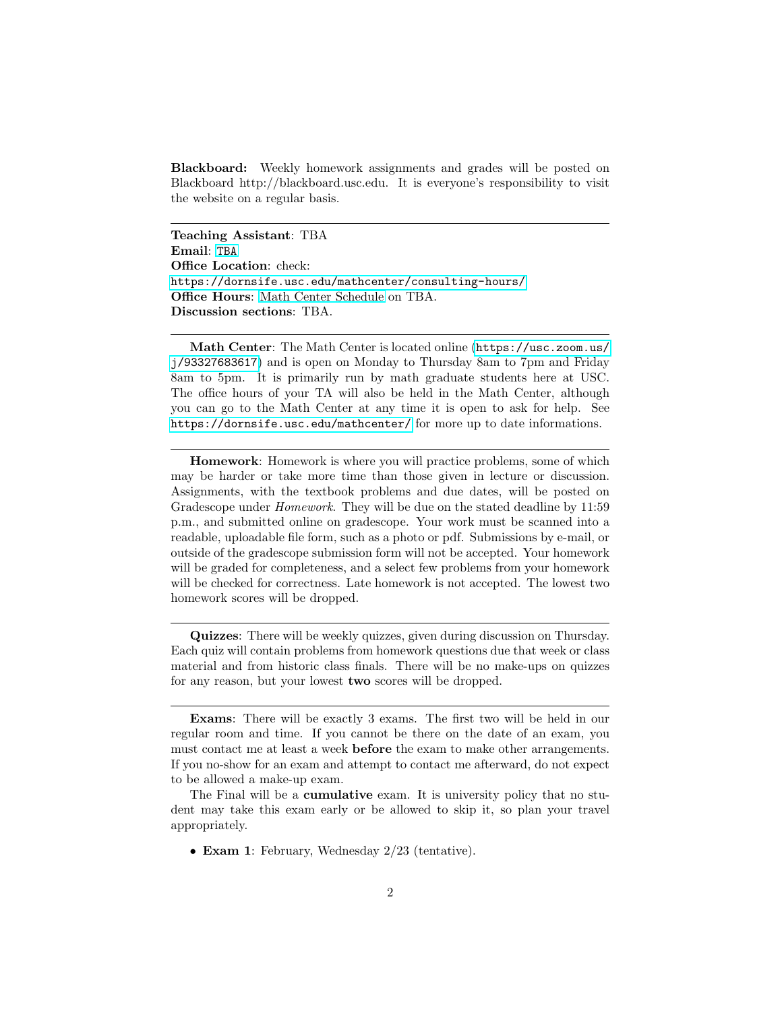Blackboard: Weekly homework assignments and grades will be posted on Blackboard http://blackboard.usc.edu. It is everyone's responsibility to visit the website on a regular basis.

Teaching Assistant: TBA Email: <TBA> Office Location: check: <https://dornsife.usc.edu/mathcenter/consulting-hours/> Office Hours: [Math Center Schedule](https://dornsife.usc.edu/assets/sites/372/docs/consulting_hours/TAschedules.pdf) on TBA. Discussion sections: TBA.

Math Center: The Math Center is located online ([https://usc.zoom.us/](https://usc.zoom.us/j/93327683617) [j/93327683617](https://usc.zoom.us/j/93327683617)) and is open on Monday to Thursday 8am to 7pm and Friday 8am to 5pm. It is primarily run by math graduate students here at USC. The office hours of your TA will also be held in the Math Center, although you can go to the Math Center at any time it is open to ask for help. See <https://dornsife.usc.edu/mathcenter/> for more up to date informations.

Homework: Homework is where you will practice problems, some of which may be harder or take more time than those given in lecture or discussion. Assignments, with the textbook problems and due dates, will be posted on Gradescope under *Homework*. They will be due on the stated deadline by 11:59 p.m., and submitted online on gradescope. Your work must be scanned into a readable, uploadable file form, such as a photo or pdf. Submissions by e-mail, or outside of the gradescope submission form will not be accepted. Your homework will be graded for completeness, and a select few problems from your homework will be checked for correctness. Late homework is not accepted. The lowest two homework scores will be dropped.

Quizzes: There will be weekly quizzes, given during discussion on Thursday. Each quiz will contain problems from homework questions due that week or class material and from historic class finals. There will be no make-ups on quizzes for any reason, but your lowest two scores will be dropped.

• Exam 1: February, Wednesday 2/23 (tentative).

Exams: There will be exactly 3 exams. The first two will be held in our regular room and time. If you cannot be there on the date of an exam, you must contact me at least a week before the exam to make other arrangements. If you no-show for an exam and attempt to contact me afterward, do not expect to be allowed a make-up exam.

The Final will be a cumulative exam. It is university policy that no student may take this exam early or be allowed to skip it, so plan your travel appropriately.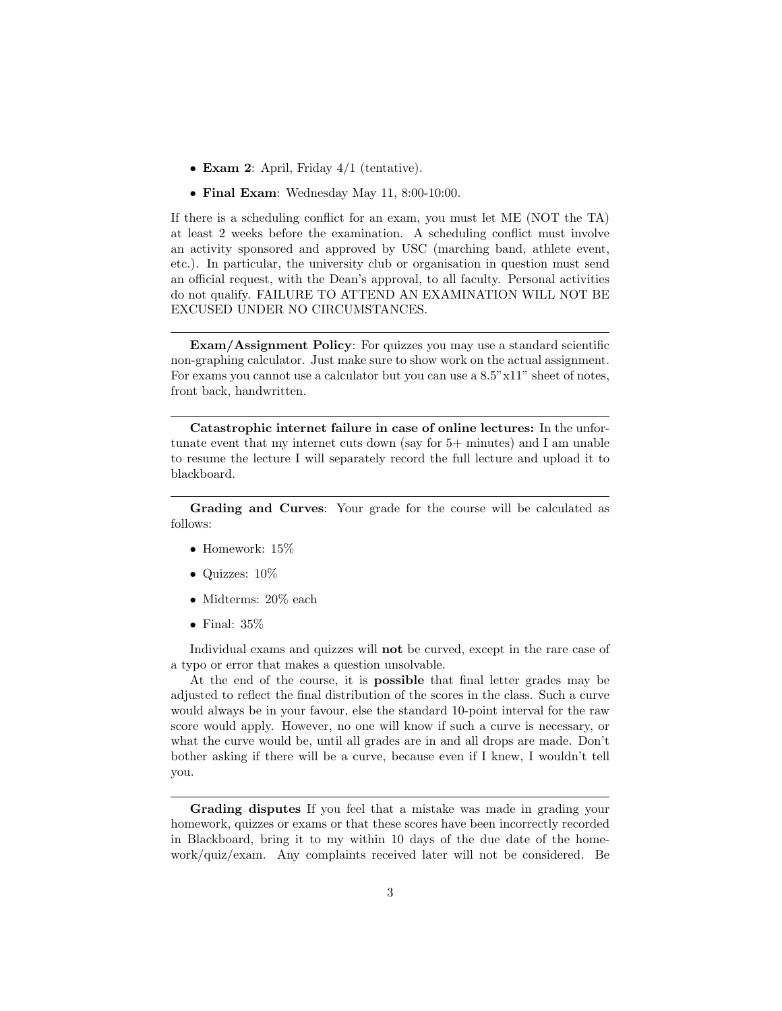- Exam 2: April, Friday 4/1 (tentative).
- Final Exam: Wednesday May 11, 8:00-10:00.

If there is a scheduling conflict for an exam, you must let ME (NOT the TA) at least 2 weeks before the examination. A scheduling conflict must involve an activity sponsored and approved by USC (marching band, athlete event, etc.). In particular, the university club or organisation in question must send an official request, with the Dean's approval, to all faculty. Personal activities do not qualify. FAILURE TO ATTEND AN EXAMINATION WILL NOT BE EXCUSED UNDER NO CIRCUMSTANCES.

Exam/Assignment Policy: For quizzes you may use a standard scientific non-graphing calculator. Just make sure to show work on the actual assignment. For exams you cannot use a calculator but you can use a 8.5"x11" sheet of notes, front back, handwritten.

Catastrophic internet failure in case of online lectures: In the unfortunate event that my internet cuts down (say for 5+ minutes) and I am unable to resume the lecture I will separately record the full lecture and upload it to blackboard.

Grading and Curves: Your grade for the course will be calculated as follows:

- Homework: 15%
- Quizzes: 10%
- Midterms: 20% each
- $\bullet$  Final: 35%

Individual exams and quizzes will **not** be curved, except in the rare case of a typo or error that makes a question unsolvable.

At the end of the course, it is possible that final letter grades may be adjusted to reflect the final distribution of the scores in the class. Such a curve would always be in your favour, else the standard 10-point interval for the raw score would apply. However, no one will know if such a curve is necessary, or what the curve would be, until all grades are in and all drops are made. Don't bother asking if there will be a curve, because even if I knew, I wouldn't tell you.

Grading disputes If you feel that a mistake was made in grading your homework, quizzes or exams or that these scores have been incorrectly recorded in Blackboard, bring it to my within 10 days of the due date of the homework/quiz/exam. Any complaints received later will not be considered. Be